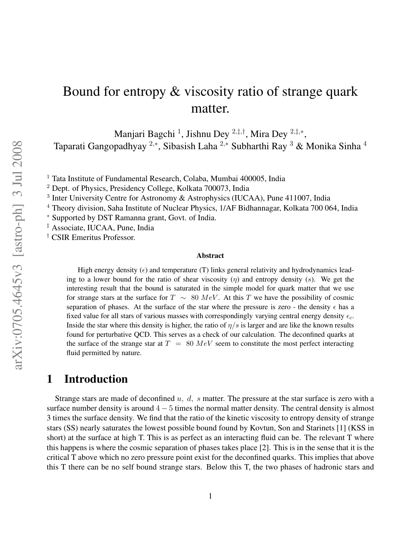# Bound for entropy & viscosity ratio of strange quark matter.

Manjari Bagchi <sup>1</sup>, Jishnu Dey <sup>2,‡,†</sup>, Mira Dey <sup>2,‡,</sup>\*,

Taparati Gangopadhyay <sup>2,∗</sup>, Sibasish Laha <sup>2,∗</sup> Subharthi Ray <sup>3</sup> & Monika Sinha <sup>4</sup>

<sup>1</sup> Tata Institute of Fundamental Research, Colaba, Mumbai 400005, India

<sup>∗</sup> Supported by DST Ramanna grant, Govt. of India.

‡ Associate, IUCAA, Pune, India

† CSIR Emeritus Professor.

#### **Abstract**

High energy density  $(\epsilon)$  and temperature (T) links general relativity and hydrodynamics leading to a lower bound for the ratio of shear viscosity  $(\eta)$  and entropy density (s). We get the interesting result that the bound is saturated in the simple model for quark matter that we use for strange stars at the surface for  $T \sim 80 \; MeV$ . At this T we have the possibility of cosmic separation of phases. At the surface of the star where the pressure is zero - the density  $\epsilon$  has a fixed value for all stars of various masses with correspondingly varying central energy density  $\epsilon_c$ . Inside the star where this density is higher, the ratio of  $\eta/s$  is larger and are like the known results found for perturbative QCD. This serves as a check of our calculation. The deconfined quarks at the surface of the strange star at  $T = 80 \; MeV$  seem to constitute the most perfect interacting fluid permitted by nature.

# **1 Introduction**

Strange stars are made of deconfined  $u, d, s$  matter. The pressure at the star surface is zero with a surface number density is around  $4 - 5$  times the normal matter density. The central density is almost 3 times the surface density. We find that the ratio of the kinetic viscosity to entropy density of strange stars (SS) nearly saturates the lowest possible bound found by Kovtun, Son and Starinets [1] (KSS in short) at the surface at high T. This is as perfect as an interacting fluid can be. The relevant T where this happens is where the cosmic separation of phases takes place [2]. This is in the sense that it is the critical T above which no zero pressure point exist for the deconfined quarks. This implies that above this T there can be no self bound strange stars. Below this T, the two phases of hadronic stars and

<sup>2</sup> Dept. of Physics, Presidency College, Kolkata 700073, India

<sup>&</sup>lt;sup>3</sup> Inter University Centre for Astronomy & Astrophysics (IUCAA), Pune 411007, India

<sup>&</sup>lt;sup>4</sup> Theory division, Saha Institute of Nuclear Physics, 1/AF Bidhannagar, Kolkata 700 064, India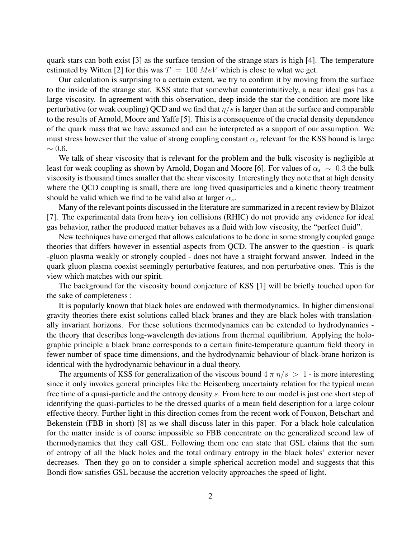quark stars can both exist [3] as the surface tension of the strange stars is high [4]. The temperature estimated by Witten [2] for this was  $T = 100 \; MeV$  which is close to what we get.

Our calculation is surprising to a certain extent, we try to confirm it by moving from the surface to the inside of the strange star. KSS state that somewhat counterintuitively, a near ideal gas has a large viscosity. In agreement with this observation, deep inside the star the condition are more like perturbative (or weak coupling) QCD and we find that  $\eta/s$  is larger than at the surface and comparable to the results of Arnold, Moore and Yaffe [5]. This is a consequence of the crucial density dependence of the quark mass that we have assumed and can be interpreted as a support of our assumption. We must stress however that the value of strong coupling constant  $\alpha_s$  relevant for the KSS bound is large  $~\sim 0.6$ .

We talk of shear viscosity that is relevant for the problem and the bulk viscosity is negligible at least for weak coupling as shown by Arnold, Dogan and Moore [6]. For values of  $\alpha_s \sim 0.3$  the bulk viscosity is thousand times smaller that the shear viscosity. Interestingly they note that at high density where the QCD coupling is small, there are long lived quasiparticles and a kinetic theory treatment should be valid which we find to be valid also at larger  $\alpha_s$ .

Many of the relevant points discussed in the literature are summarized in a recent review by Blaizot [7]. The experimental data from heavy ion collisions (RHIC) do not provide any evidence for ideal gas behavior, rather the produced matter behaves as a fluid with low viscosity, the "perfect fluid".

New techniques have emerged that allows calculations to be done in some strongly coupled gauge theories that differs however in essential aspects from QCD. The answer to the question - is quark -gluon plasma weakly or strongly coupled - does not have a straight forward answer. Indeed in the quark gluon plasma coexist seemingly perturbative features, and non perturbative ones. This is the view which matches with our spirit.

The background for the viscosity bound conjecture of KSS [1] will be briefly touched upon for the sake of completeness :

It is popularly known that black holes are endowed with thermodynamics. In higher dimensional gravity theories there exist solutions called black branes and they are black holes with translationally invariant horizons. For these solutions thermodynamics can be extended to hydrodynamics the theory that describes long-wavelength deviations from thermal equilibrium. Applying the holographic principle a black brane corresponds to a certain finite-temperature quantum field theory in fewer number of space time dimensions, and the hydrodynamic behaviour of black-brane horizon is identical with the hydrodynamic behaviour in a dual theory.

The arguments of KSS for generalization of the viscous bound  $4 \pi \eta/s > 1$  - is more interesting since it only invokes general principles like the Heisenberg uncertainty relation for the typical mean free time of a quasi-particle and the entropy density s. From here to our model is just one short step of identifying the quasi-particles to be the dressed quarks of a mean field description for a large colour effective theory. Further light in this direction comes from the recent work of Fouxon, Betschart and Bekenstein (FBB in short) [8] as we shall discuss later in this paper. For a black hole calculation for the matter inside is of course impossible so FBB concentrate on the generalized second law of thermodynamics that they call GSL. Following them one can state that GSL claims that the sum of entropy of all the black holes and the total ordinary entropy in the black holes' exterior never decreases. Then they go on to consider a simple spherical accretion model and suggests that this Bondi flow satisfies GSL because the accretion velocity approaches the speed of light.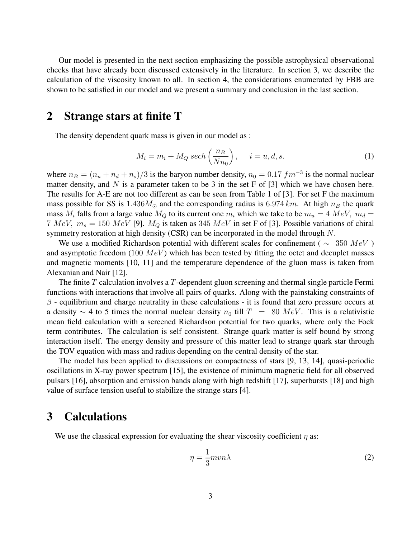Our model is presented in the next section emphasizing the possible astrophysical observational checks that have already been discussed extensively in the literature. In section 3, we describe the calculation of the viscosity known to all. In section 4, the considerations enumerated by FBB are shown to be satisfied in our model and we present a summary and conclusion in the last section.

#### **2 Strange stars at finite T**

The density dependent quark mass is given in our model as :

$$
M_i = m_i + M_Q \ sech\left(\frac{n_B}{N n_0}\right), \quad i = u, d, s. \tag{1}
$$

where  $n_B = (n_u + n_d + n_s)/3$  is the baryon number density,  $n_0 = 0.17$   $fm^{-3}$  is the normal nuclear matter density, and N is a parameter taken to be 3 in the set F of [3] which we have chosen here. The results for A-E are not too different as can be seen from Table 1 of [3]. For set F the maximum mass possible for SS is 1.436 $M_{\odot}$  and the corresponding radius is 6.974 km. At high  $n_B$  the quark mass  $M_i$  falls from a large value  $M_Q$  to its current one  $m_i$  which we take to be  $m_u = 4$  MeV,  $m_d =$ 7 MeV,  $m_s = 150 \; MeV$  [9].  $M_Q$  is taken as 345 MeV in set F of [3]. Possible variations of chiral symmetry restoration at high density (CSR) can be incorporated in the model through  $N$ .

We use a modified Richardson potential with different scales for confinement (  $\sim 350 \;MeV$ ) and asymptotic freedom (100  $MeV$ ) which has been tested by fitting the octet and decuplet masses and magnetic moments [10, 11] and the temperature dependence of the gluon mass is taken from Alexanian and Nair [12].

The finite  $T$  calculation involves a  $T$ -dependent gluon screening and thermal single particle Fermi functions with interactions that involve all pairs of quarks. Along with the painstaking constraints of  $\beta$  - equilibrium and charge neutrality in these calculations - it is found that zero pressure occurs at a density  $\sim$  4 to 5 times the normal nuclear density  $n_0$  till  $T = 80$  MeV. This is a relativistic mean field calculation with a screened Richardson potential for two quarks, where only the Fock term contributes. The calculation is self consistent. Strange quark matter is self bound by strong interaction itself. The energy density and pressure of this matter lead to strange quark star through the TOV equation with mass and radius depending on the central density of the star.

The model has been applied to discussions on compactness of stars [9, 13, 14], quasi-periodic oscillations in X-ray power spectrum [15], the existence of minimum magnetic field for all observed pulsars [16], absorption and emission bands along with high redshift [17], superbursts [18] and high value of surface tension useful to stabilize the strange stars [4].

# **3 Calculations**

We use the classical expression for evaluating the shear viscosity coefficient  $\eta$  as:

$$
\eta = \frac{1}{3} m v n \lambda \tag{2}
$$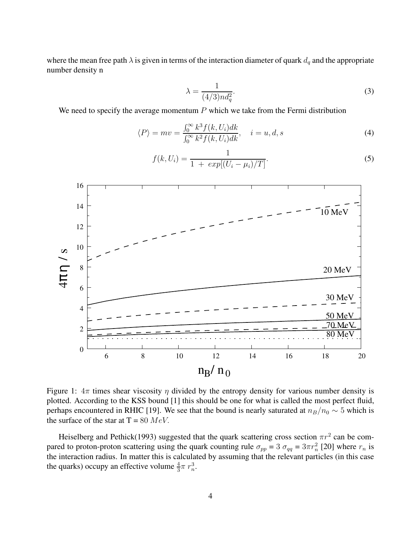where the mean free path  $\lambda$  is given in terms of the interaction diameter of quark  $d_q$  and the appropriate number density n

$$
\lambda = \frac{1}{(4/3)nd_q^2}.\tag{3}
$$

We need to specify the average momentum  $P$  which we take from the Fermi distribution

$$
\langle P \rangle = mv = \frac{\int_0^\infty k^3 f(k, U_i) dk}{\int_0^\infty k^2 f(k, U_i) dk}, \quad i = u, d, s \tag{4}
$$

$$
f(k, U_i) = \frac{1}{1 + exp[(U_i - \mu_i)/T]}.
$$
\n(5)



Figure 1:  $4\pi$  times shear viscosity  $\eta$  divided by the entropy density for various number density is plotted. According to the KSS bound [1] this should be one for what is called the most perfect fluid, perhaps encountered in RHIC [19]. We see that the bound is nearly saturated at  $n_B/n_0 \sim 5$  which is the surface of the star at  $T = 80$  MeV.

Heiselberg and Pethick(1993) suggested that the quark scattering cross section  $\pi r^2$  can be compared to proton-proton scattering using the quark counting rule  $\sigma_{pp} = 3 \sigma_{qq} = 3\pi r_n^2$  [20] where  $r_n$  is the interaction radius. In matter this is calculated by assuming that the relevant particles (in this case the quarks) occupy an effective volume  $\frac{4}{3}\pi r_n^3$ .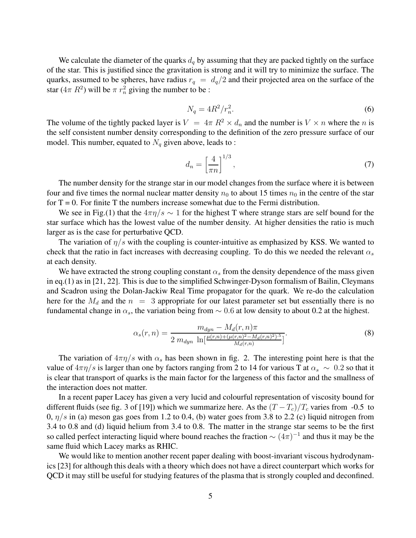We calculate the diameter of the quarks  $d_q$  by assuming that they are packed tightly on the surface of the star. This is justified since the gravitation is strong and it will try to minimize the surface. The quarks, assumed to be spheres, have radius  $r_q = d_q/2$  and their projected area on the surface of the star  $(4\pi R^2)$  will be  $\pi r_n^2$  giving the number to be :

$$
N_q = 4R^2/r_n^2.\tag{6}
$$

The volume of the tightly packed layer is  $V = 4\pi R^2 \times d_n$  and the number is  $V \times n$  where the n is the self consistent number density corresponding to the definition of the zero pressure surface of our model. This number, equated to  $N_q$  given above, leads to :

$$
d_n = \left[\frac{4}{\pi n}\right]^{1/3},\tag{7}
$$

The number density for the strange star in our model changes from the surface where it is between four and five times the normal nuclear matter density  $n_0$  to about 15 times  $n_0$  in the centre of the star for  $T = 0$ . For finite T the numbers increase somewhat due to the Fermi distribution.

We see in Fig.(1) that the  $4\pi\eta/s \sim 1$  for the highest T where strange stars are self bound for the star surface which has the lowest value of the number density. At higher densities the ratio is much larger as is the case for perturbative QCD.

The variation of  $\eta/s$  with the coupling is counter-intuitive as emphasized by KSS. We wanted to check that the ratio in fact increases with decreasing coupling. To do this we needed the relevant  $\alpha_s$ at each density.

We have extracted the strong coupling constant  $\alpha_s$  from the density dependence of the mass given in eq.(1) as in [21, 22]. This is due to the simplified Schwinger-Dyson formalism of Bailin, Cleymans and Scadron using the Dolan-Jackiw Real Time propagator for the quark. We re-do the calculation here for the  $M_d$  and the  $n = 3$  appropriate for our latest parameter set but essentially there is no fundamental change in  $\alpha_s$ , the variation being from  $\sim 0.6$  at low density to about 0.2 at the highest.

$$
\alpha_s(r,n) = \frac{m_{dyn} - M_d(r,n)\pi}{2 \; m_{dyn} \; \ln[\frac{\mu(r,n) + (\mu(r,n)^2 - M_d(r,n)^2)^{.5}}{M_d(r,n)}]}. \tag{8}
$$

The variation of  $4\pi\eta/s$  with  $\alpha_s$  has been shown in fig. 2. The interesting point here is that the value of  $4\pi\eta/s$  is larger than one by factors ranging from 2 to 14 for various T at  $\alpha_s \sim 0.2$  so that it is clear that transport of quarks is the main factor for the largeness of this factor and the smallness of the interaction does not matter.

In a recent paper Lacey has given a very lucid and colourful representation of viscosity bound for different fluids (see fig. 3 of [19]) which we summarize here. As the  $(T - T_c)/T_c$  varies from -0.5 to 0,  $\eta/s$  in (a) meson gas goes from 1.2 to 0.4, (b) water goes from 3.8 to 2.2 (c) liquid nitrogen from 3.4 to 0.8 and (d) liquid helium from 3.4 to 0.8. The matter in the strange star seems to be the first so called perfect interacting liquid where bound reaches the fraction  $\sim (4\pi)^{-1}$  and thus it may be the same fluid which Lacey marks as RHIC.

We would like to mention another recent paper dealing with boost-invariant viscous hydrodynamics [23] for although this deals with a theory which does not have a direct counterpart which works for QCD it may still be useful for studying features of the plasma that is strongly coupled and deconfined.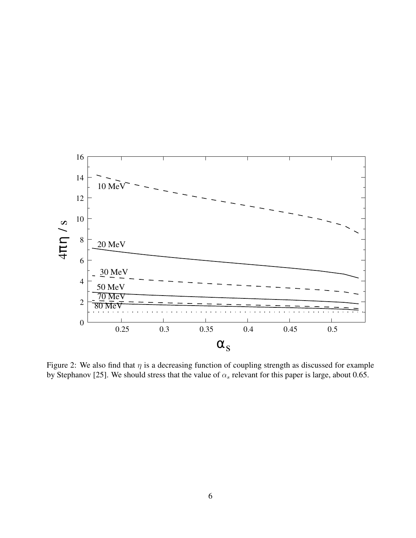

Figure 2: We also find that  $\eta$  is a decreasing function of coupling strength as discussed for example by Stephanov [25]. We should stress that the value of  $\alpha_s$  relevant for this paper is large, about 0.65.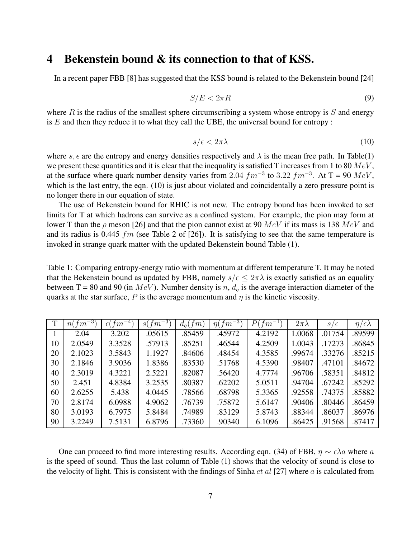## **4 Bekenstein bound & its connection to that of KSS.**

In a recent paper FBB [8] has suggested that the KSS bound is related to the Bekenstein bound [24]

$$
S/E < 2\pi R \tag{9}
$$

where  $R$  is the radius of the smallest sphere circumscribing a system whose entropy is  $S$  and energy is  $E$  and then they reduce it to what they call the UBE, the universal bound for entropy :

$$
s/\epsilon < 2\pi\lambda \tag{10}
$$

where s,  $\epsilon$  are the entropy and energy densities respectively and  $\lambda$  is the mean free path. In Table(1) we present these quantities and it is clear that the inequality is satisfied T increases from 1 to 80  $MeV$ , at the surface where quark number density varies from 2.04  $fm^{-3}$  to 3.22  $fm^{-3}$ . At T = 90  $MeV$ , which is the last entry, the eqn. (10) is just about violated and coincidentally a zero pressure point is no longer there in our equation of state.

The use of Bekenstein bound for RHIC is not new. The entropy bound has been invoked to set limits for T at which hadrons can survive as a confined system. For example, the pion may form at lower T than the  $\rho$  meson [26] and that the pion cannot exist at 90  $MeV$  if its mass is 138  $MeV$  and and its radius is 0.445  $fm$  (see Table 2 of [26]). It is satisfying to see that the same temperature is invoked in strange quark matter with the updated Bekenstein bound Table (1).

Table 1: Comparing entropy-energy ratio with momentum at different temperature T. It may be noted that the Bekenstein bound as updated by FBB, namely  $s/\epsilon \leq 2\pi\lambda$  is exactly satisfied as an equality between T = 80 and 90 (in  $MeV$ ). Number density is n,  $d_q$  is the average interaction diameter of the quarks at the star surface, P is the average momentum and  $\eta$  is the kinetic viscosity.

|    | $n(fm^{-3})$ | $\epsilon (fm^{-4})$ | $s(fm^{-3})$ | $d_q(fm)$ | $\eta(fm^{-3})$ | $P(fm^{-1})$ | $2\pi\lambda$ | $S/\epsilon$ | $\eta/\epsilon\lambda$ |
|----|--------------|----------------------|--------------|-----------|-----------------|--------------|---------------|--------------|------------------------|
|    | 2.04         | 3.202                | .05615       | .85459    | .45972          | 4.2192       | 1.0068        | .01754       | .89599                 |
| 10 | 2.0549       | 3.3528               | .57913       | .85251    | .46544          | 4.2509       | 1.0043        | .17273       | .86845                 |
| 20 | 2.1023       | 3.5843               | 1.1927       | .84606    | .48454          | 4.3585       | .99674        | .33276       | .85215                 |
| 30 | 2.1846       | 3.9036               | 1.8386       | .83530    | .51768          | 4.5390       | .98407        | .47101       | .84672                 |
| 40 | 2.3019       | 4.3221               | 2.5221       | .82087    | .56420          | 4.7774       | .96706        | .58351       | .84812                 |
| 50 | 2.451        | 4.8384               | 3.2535       | .80387    | .62202          | 5.0511       | .94704        | .67242       | .85292                 |
| 60 | 2.6255       | 5.438                | 4.0445       | .78566    | .68798          | 5.3365       | .92558        | .74375       | .85882                 |
| 70 | 2.8174       | 6.0988               | 4.9062       | .76739    | .75872          | 5.6147       | .90406        | .80446       | .86459                 |
| 80 | 3.0193       | 6.7975               | 5.8484       | .74989    | .83129          | 5.8743       | .88344        | .86037       | .86976                 |
| 90 | 3.2249       | 7.5131               | 6.8796       | .73360    | .90340          | 6.1096       | .86425        | .91568       | .87417                 |

One can proceed to find more interesting results. According eqn. (34) of FBB,  $\eta \sim \epsilon \lambda a$  where a is the speed of sound. Thus the last column of Table (1) shows that the velocity of sound is close to the velocity of light. This is consistent with the findings of Sinha  $et$  al [27] where a is calculated from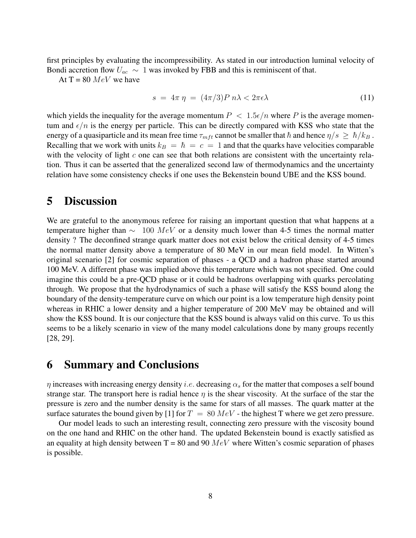first principles by evaluating the incompressibility. As stated in our introduction luminal velocity of Bondi accretion flow  $U_{ac} \sim 1$  was invoked by FBB and this is reminiscent of that.

At  $T = 80$  MeV we have

$$
s = 4\pi \eta = (4\pi/3)P n\lambda < 2\pi\epsilon\lambda \tag{11}
$$

which yields the inequality for the average momentum  $P < 1.5\epsilon/n$  where P is the average momentum and  $\epsilon/n$  is the energy per particle. This can be directly compared with KSS who state that the energy of a quasiparticle and its mean free time  $\tau_{mft}$  cannot be smaller that  $\hbar$  and hence  $\eta/s \geq \hbar/k_B$ . Recalling that we work with units  $k_B = \hbar = c = 1$  and that the quarks have velocities comparable with the velocity of light c one can see that both relations are consistent with the uncertainty relation. Thus it can be asserted that the generalized second law of thermodynamics and the uncertainty relation have some consistency checks if one uses the Bekenstein bound UBE and the KSS bound.

### **5 Discussion**

We are grateful to the anonymous referee for raising an important question that what happens at a temperature higher than  $\sim$  100 MeV or a density much lower than 4-5 times the normal matter density ? The deconfined strange quark matter does not exist below the critical density of 4-5 times the normal matter density above a temperature of 80 MeV in our mean field model. In Witten's original scenario [2] for cosmic separation of phases - a QCD and a hadron phase started around 100 MeV. A different phase was implied above this temperature which was not specified. One could imagine this could be a pre-QCD phase or it could be hadrons overlapping with quarks percolating through. We propose that the hydrodynamics of such a phase will satisfy the KSS bound along the boundary of the density-temperature curve on which our point is a low temperature high density point whereas in RHIC a lower density and a higher temperature of 200 MeV may be obtained and will show the KSS bound. It is our conjecture that the KSS bound is always valid on this curve. To us this seems to be a likely scenario in view of the many model calculations done by many groups recently [28, 29].

#### **6 Summary and Conclusions**

 $\eta$  increases with increasing energy density *i.e.* decreasing  $\alpha_s$  for the matter that composes a self bound strange star. The transport here is radial hence  $\eta$  is the shear viscosity. At the surface of the star the pressure is zero and the number density is the same for stars of all masses. The quark matter at the surface saturates the bound given by [1] for  $T = 80 \text{ MeV}$  - the highest T where we get zero pressure.

Our model leads to such an interesting result, connecting zero pressure with the viscosity bound on the one hand and RHIC on the other hand. The updated Bekenstein bound is exactly satisfied as an equality at high density between  $T = 80$  and 90  $MeV$  where Witten's cosmic separation of phases is possible.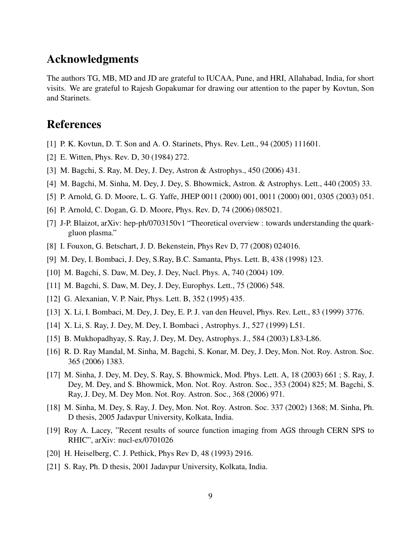### **Acknowledgments**

The authors TG, MB, MD and JD are grateful to IUCAA, Pune, and HRI, Allahabad, India, for short visits. We are grateful to Rajesh Gopakumar for drawing our attention to the paper by Kovtun, Son and Starinets.

# **References**

- [1] P. K. Kovtun, D. T. Son and A. O. Starinets, Phys. Rev. Lett., 94 (2005) 111601.
- [2] E. Witten, Phys. Rev. D, 30 (1984) 272.
- [3] M. Bagchi, S. Ray, M. Dey, J. Dey, Astron & Astrophys., 450 (2006) 431.
- [4] M. Bagchi, M. Sinha, M. Dey, J. Dey, S. Bhowmick, Astron. & Astrophys. Lett., 440 (2005) 33.
- [5] P. Arnold, G. D. Moore, L. G. Yaffe, JHEP 0011 (2000) 001, 0011 (2000) 001, 0305 (2003) 051.
- [6] P. Arnold, C. Dogan, G. D. Moore, Phys. Rev. D, 74 (2006) 085021.
- [7] J-P. Blaizot, arXiv: hep-ph/0703150v1 "Theoretical overview : towards understanding the quarkgluon plasma."
- [8] I. Fouxon, G. Betschart, J. D. Bekenstein, Phys Rev D, 77 (2008) 024016.
- [9] M. Dey, I. Bombaci, J. Dey, S.Ray, B.C. Samanta, Phys. Lett. B, 438 (1998) 123.
- [10] M. Bagchi, S. Daw, M. Dey, J. Dey, Nucl. Phys. A, 740 (2004) 109.
- [11] M. Bagchi, S. Daw, M. Dey, J. Dey, Europhys. Lett., 75 (2006) 548.
- [12] G. Alexanian, V. P. Nair, *Phys. Lett. B*, 352 (1995) 435.
- [13] X. Li, I. Bombaci, M. Dey, J. Dey, E. P. J. van den Heuvel, Phys. Rev. Lett., 83 (1999) 3776.
- [14] X. Li, S. Ray, J. Dey, M. Dey, I. Bombaci , Astrophys. J., 527 (1999) L51.
- [15] B. Mukhopadhyay, S. Ray, J. Dey, M. Dey, Astrophys. J., 584 (2003) L83-L86.
- [16] R. D. Ray Mandal, M. Sinha, M. Bagchi, S. Konar, M. Dey, J. Dey, Mon. Not. Roy. Astron. Soc. 365 (2006) 1383.
- [17] M. Sinha, J. Dey, M. Dey, S. Ray, S. Bhowmick, Mod. Phys. Lett. A, 18 (2003) 661 ; S. Ray, J. Dey, M. Dey, and S. Bhowmick, Mon. Not. Roy. Astron. Soc., 353 (2004) 825; M. Bagchi, S. Ray, J. Dey, M. Dey Mon. Not. Roy. Astron. Soc., 368 (2006) 971.
- [18] M. Sinha, M. Dey, S. Ray, J. Dey, Mon. Not. Roy. Astron. Soc. 337 (2002) 1368; M. Sinha, Ph. D thesis, 2005 Jadavpur University, Kolkata, India.
- [19] Roy A. Lacey, "Recent results of source function imaging from AGS through CERN SPS to RHIC", arXiv: nucl-ex/0701026
- [20] H. Heiselberg, C. J. Pethick, Phys Rev D, 48 (1993) 2916.
- [21] S. Ray, Ph. D thesis, 2001 Jadavpur University, Kolkata, India.